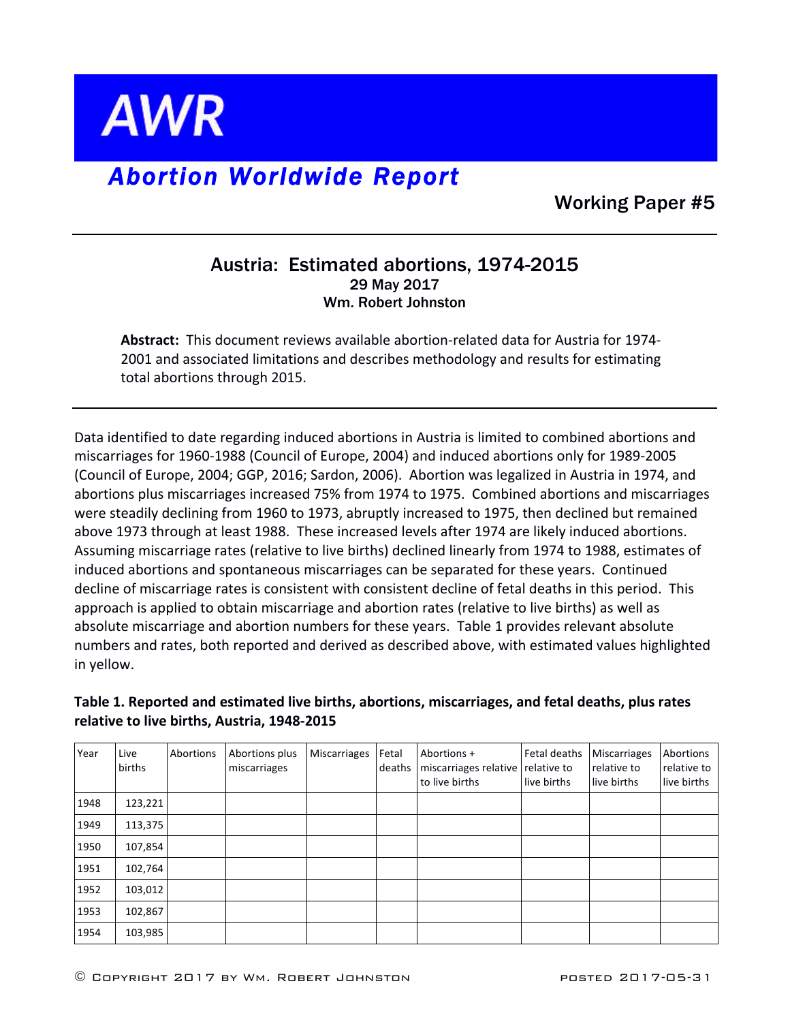

## *Abortion Worldwide Report*

Working Paper #5

## Austria: Estimated abortions, 1974-2015 29 May 2017 Wm. Robert Johnston

**Abstract:** This document reviews available abortion-related data for Austria for 1974-2001 and associated limitations and describes methodology and results for estimating total abortions through 2015.

Data identified to date regarding induced abortions in Austria is limited to combined abortions and miscarriages for 1960-1988 (Council of Europe, 2004) and induced abortions only for 1989-2005 (Council of Europe, 2004; GGP, 2016; Sardon, 2006). Abortion was legalized in Austria in 1974, and abortions plus miscarriages increased 75% from 1974 to 1975. Combined abortions and miscarriages were steadily declining from 1960 to 1973, abruptly increased to 1975, then declined but remained above 1973 through at least 1988. These increased levels after 1974 are likely induced abortions. Assuming miscarriage rates (relative to live births) declined linearly from 1974 to 1988, estimates of induced abortions and spontaneous miscarriages can be separated for these years. Continued decline of miscarriage rates is consistent with consistent decline of fetal deaths in this period. This approach is applied to obtain miscarriage and abortion rates (relative to live births) as well as absolute miscarriage and abortion numbers for these years. Table 1 provides relevant absolute numbers and rates, both reported and derived as described above, with estimated values highlighted in yellow.

## Table 1. Reported and estimated live births, abortions, miscarriages, and fetal deaths, plus rates relative to live births, Austria, 1948-2015

| Year | Live<br>births | Abortions | Abortions plus<br>miscarriages | <b>Miscarriages</b> | Fetal<br>deaths | Abortions +<br>miscarriages relative<br>to live births | Fetal deaths<br>relative to<br>live births | <b>Miscarriages</b><br>relative to<br>live births | Abortions<br>relative to<br>live births |
|------|----------------|-----------|--------------------------------|---------------------|-----------------|--------------------------------------------------------|--------------------------------------------|---------------------------------------------------|-----------------------------------------|
| 1948 | 123,221        |           |                                |                     |                 |                                                        |                                            |                                                   |                                         |
| 1949 | 113,375        |           |                                |                     |                 |                                                        |                                            |                                                   |                                         |
| 1950 | 107,854        |           |                                |                     |                 |                                                        |                                            |                                                   |                                         |
| 1951 | 102,764        |           |                                |                     |                 |                                                        |                                            |                                                   |                                         |
| 1952 | 103,012        |           |                                |                     |                 |                                                        |                                            |                                                   |                                         |
| 1953 | 102,867        |           |                                |                     |                 |                                                        |                                            |                                                   |                                         |
| 1954 | 103,985        |           |                                |                     |                 |                                                        |                                            |                                                   |                                         |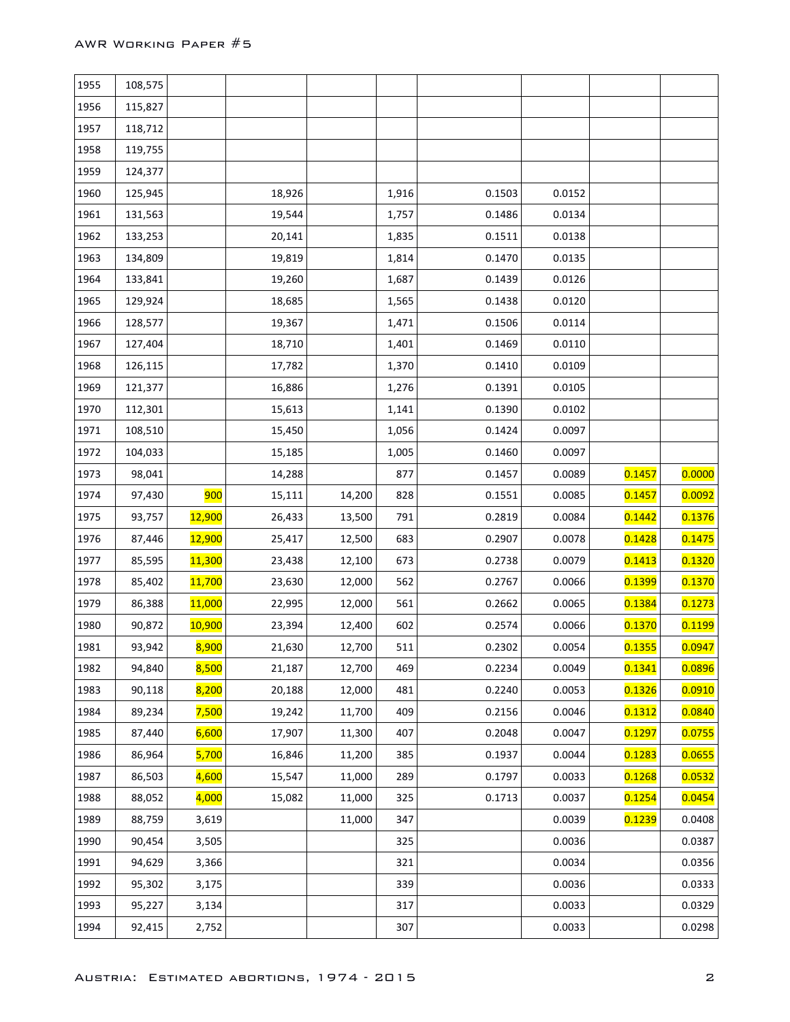| 1955 | 108,575 |               |        |        |       |        |        |        |        |
|------|---------|---------------|--------|--------|-------|--------|--------|--------|--------|
| 1956 | 115,827 |               |        |        |       |        |        |        |        |
| 1957 | 118,712 |               |        |        |       |        |        |        |        |
| 1958 | 119,755 |               |        |        |       |        |        |        |        |
| 1959 | 124,377 |               |        |        |       |        |        |        |        |
| 1960 | 125,945 |               | 18,926 |        | 1,916 | 0.1503 | 0.0152 |        |        |
| 1961 | 131,563 |               | 19,544 |        | 1,757 | 0.1486 | 0.0134 |        |        |
| 1962 | 133,253 |               | 20,141 |        | 1,835 | 0.1511 | 0.0138 |        |        |
| 1963 | 134,809 |               | 19,819 |        | 1,814 | 0.1470 | 0.0135 |        |        |
| 1964 | 133,841 |               | 19,260 |        | 1,687 | 0.1439 | 0.0126 |        |        |
| 1965 | 129,924 |               | 18,685 |        | 1,565 | 0.1438 | 0.0120 |        |        |
| 1966 | 128,577 |               | 19,367 |        | 1,471 | 0.1506 | 0.0114 |        |        |
| 1967 | 127,404 |               | 18,710 |        | 1,401 | 0.1469 | 0.0110 |        |        |
| 1968 | 126,115 |               | 17,782 |        | 1,370 | 0.1410 | 0.0109 |        |        |
| 1969 | 121,377 |               | 16,886 |        | 1,276 | 0.1391 | 0.0105 |        |        |
| 1970 | 112,301 |               | 15,613 |        | 1,141 | 0.1390 | 0.0102 |        |        |
| 1971 | 108,510 |               | 15,450 |        | 1,056 | 0.1424 | 0.0097 |        |        |
| 1972 | 104,033 |               | 15,185 |        | 1,005 | 0.1460 | 0.0097 |        |        |
| 1973 | 98,041  |               | 14,288 |        | 877   | 0.1457 | 0.0089 | 0.1457 | 0.0000 |
| 1974 | 97,430  | 900           | 15,111 | 14,200 | 828   | 0.1551 | 0.0085 | 0.1457 | 0.0092 |
| 1975 | 93,757  | 12,900        | 26,433 | 13,500 | 791   | 0.2819 | 0.0084 | 0.1442 | 0.1376 |
| 1976 | 87,446  | 12,900        | 25,417 | 12,500 | 683   | 0.2907 | 0.0078 | 0.1428 | 0.1475 |
| 1977 | 85,595  | <b>11,300</b> | 23,438 | 12,100 | 673   | 0.2738 | 0.0079 | 0.1413 | 0.1320 |
| 1978 | 85,402  | <b>11,700</b> | 23,630 | 12,000 | 562   | 0.2767 | 0.0066 | 0.1399 | 0.1370 |
| 1979 | 86,388  | 11,000        | 22,995 | 12,000 | 561   | 0.2662 | 0.0065 | 0.1384 | 0.1273 |
| 1980 | 90,872  | 10,900        | 23,394 | 12,400 | 602   | 0.2574 | 0.0066 | 0.1370 | 0.1199 |
| 1981 | 93,942  | 8,900         | 21,630 | 12,700 | 511   | 0.2302 | 0.0054 | 0.1355 | 0.0947 |
| 1982 | 94,840  | 8,500         | 21,187 | 12,700 | 469   | 0.2234 | 0.0049 | 0.1341 | 0.0896 |
| 1983 | 90,118  | 8,200         | 20,188 | 12,000 | 481   | 0.2240 | 0.0053 | 0.1326 | 0.0910 |
| 1984 | 89,234  | 7,500         | 19,242 | 11,700 | 409   | 0.2156 | 0.0046 | 0.1312 | 0.0840 |
| 1985 | 87,440  | 6,600         | 17,907 | 11,300 | 407   | 0.2048 | 0.0047 | 0.1297 | 0.0755 |
| 1986 | 86,964  | 5,700         | 16,846 | 11,200 | 385   | 0.1937 | 0.0044 | 0.1283 | 0.0655 |
| 1987 | 86,503  | 4,600         | 15,547 | 11,000 | 289   | 0.1797 | 0.0033 | 0.1268 | 0.0532 |
| 1988 | 88,052  | 4,000         | 15,082 | 11,000 | 325   | 0.1713 | 0.0037 | 0.1254 | 0.0454 |
| 1989 | 88,759  | 3,619         |        | 11,000 | 347   |        | 0.0039 | 0.1239 | 0.0408 |
| 1990 | 90,454  | 3,505         |        |        | 325   |        | 0.0036 |        | 0.0387 |
| 1991 | 94,629  | 3,366         |        |        | 321   |        | 0.0034 |        | 0.0356 |
| 1992 | 95,302  | 3,175         |        |        | 339   |        | 0.0036 |        | 0.0333 |
| 1993 | 95,227  | 3,134         |        |        | 317   |        | 0.0033 |        | 0.0329 |
| 1994 | 92,415  | 2,752         |        |        | 307   |        | 0.0033 |        | 0.0298 |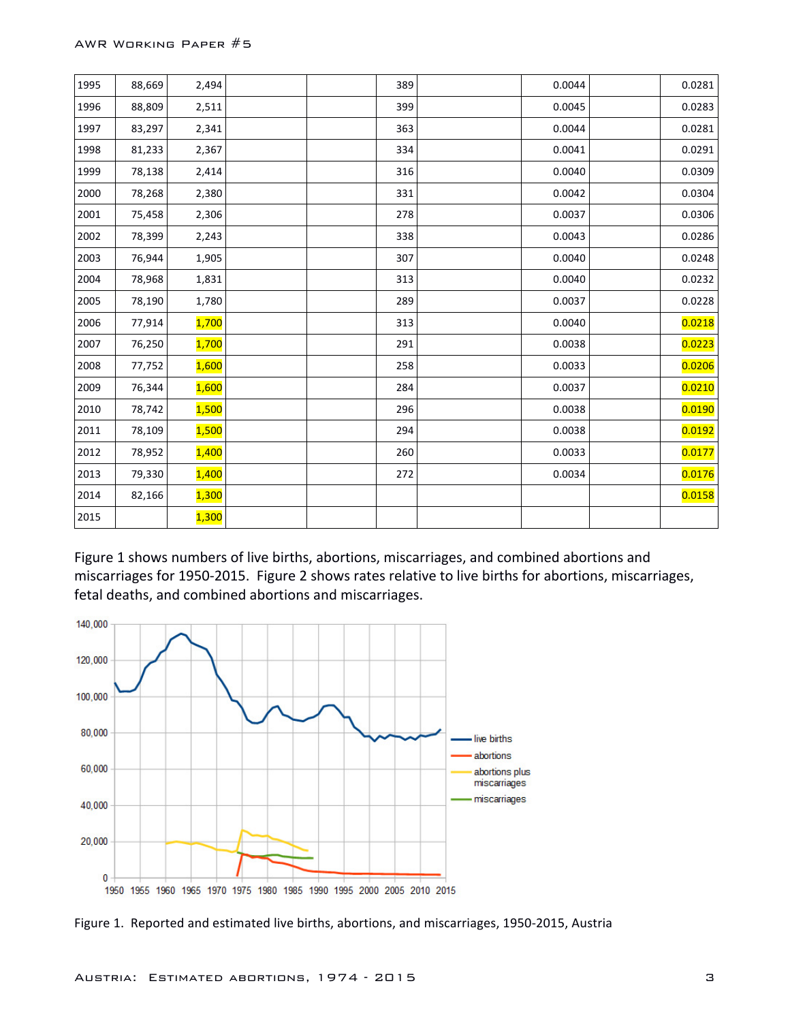| 1995 | 88,669 | 2,494        | 389 | 0.0044 | 0.0281 |
|------|--------|--------------|-----|--------|--------|
| 1996 | 88,809 | 2,511        | 399 | 0.0045 | 0.0283 |
| 1997 | 83,297 | 2,341        | 363 | 0.0044 | 0.0281 |
| 1998 | 81,233 | 2,367        | 334 | 0.0041 | 0.0291 |
| 1999 | 78,138 | 2,414        | 316 | 0.0040 | 0.0309 |
| 2000 | 78,268 | 2,380        | 331 | 0.0042 | 0.0304 |
| 2001 | 75,458 | 2,306        | 278 | 0.0037 | 0.0306 |
| 2002 | 78,399 | 2,243        | 338 | 0.0043 | 0.0286 |
| 2003 | 76,944 | 1,905        | 307 | 0.0040 | 0.0248 |
| 2004 | 78,968 | 1,831        | 313 | 0.0040 | 0.0232 |
| 2005 | 78,190 | 1,780        | 289 | 0.0037 | 0.0228 |
| 2006 | 77,914 | <b>1,700</b> | 313 | 0.0040 | 0.0218 |
| 2007 | 76,250 | 1,700        | 291 | 0.0038 | 0.0223 |
| 2008 | 77,752 | 1,600        | 258 | 0.0033 | 0.0206 |
| 2009 | 76,344 | 1,600        | 284 | 0.0037 | 0.0210 |
| 2010 | 78,742 | 1,500        | 296 | 0.0038 | 0.0190 |
| 2011 | 78,109 | 1,500        | 294 | 0.0038 | 0.0192 |
| 2012 | 78,952 | 1,400        | 260 | 0.0033 | 0.0177 |
| 2013 | 79,330 | 1,400        | 272 | 0.0034 | 0.0176 |
| 2014 | 82,166 | 1,300        |     |        | 0.0158 |
| 2015 |        | 1,300        |     |        |        |

Figure 1 shows numbers of live births, abortions, miscarriages, and combined abortions and miscarriages for 1950-2015. Figure 2 shows rates relative to live births for abortions, miscarriages, fetal deaths, and combined abortions and miscarriages.